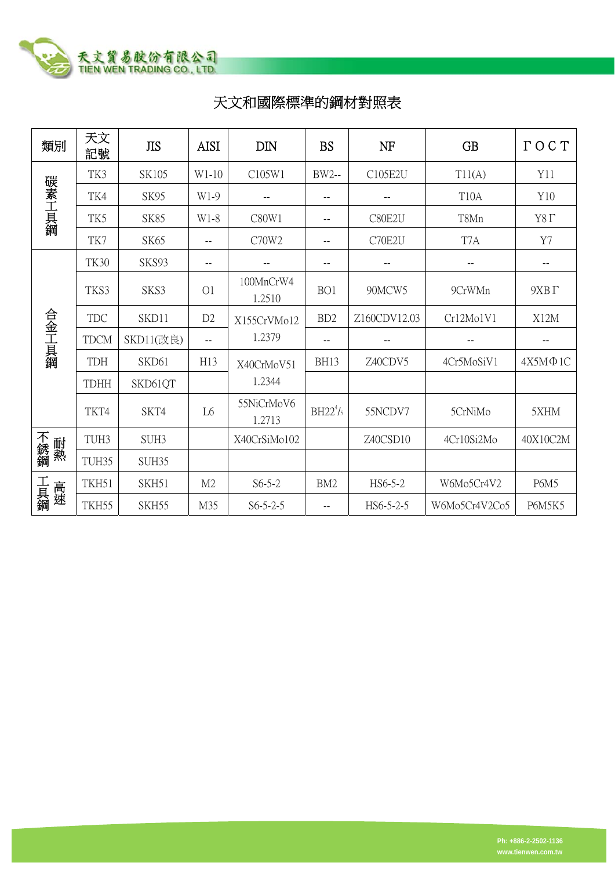

## 天文和國際標準的鋼材對照表

| 類別        | 天文<br>記號         | <b>JIS</b>  | <b>AISI</b>    | <b>DIN</b>           | <b>BS</b>       | NF           | <b>GB</b>         | $\Gamma$ OCT    |
|-----------|------------------|-------------|----------------|----------------------|-----------------|--------------|-------------------|-----------------|
| 碳素工具鋼     | TK3              | SK105       | $W1-10$        | C105W1               | <b>BW2--</b>    | C105E2U      | T11(A)            | Y11             |
|           | TK4              | SK95        | W1-9           |                      | --              |              | T <sub>10</sub> A | Y10             |
|           | TK5              | <b>SK85</b> | W1-8           | C80W1                | --              | C80E2U       | T8Mn              | Y8 <sub>Γ</sub> |
|           | TK7              | SK65        | --             | C70W2                | --              | C70E2U       | T7A               | Y7              |
| 合金工具鋼     | <b>TK30</b>      | SKS93       | --             |                      | --              |              |                   | --              |
|           | TKS3             | SKS3        | O <sub>1</sub> | 100MnCrW4<br>1.2510  | BO1             | 90MCW5       | 9CrWMn            | $9XB \Gamma$    |
|           | <b>TDC</b>       | SKD11       | D <sub>2</sub> | X155CrVMo12          | BD <sub>2</sub> | Z160CDV12.03 | Cr12Mo1V1         | X12M            |
|           | <b>TDCM</b>      | SKD11(改良)   | $- -$          | 1.2379               | $-$             |              |                   |                 |
|           | <b>TDH</b>       | SKD61       | H13            | X40CrMoV51           | <b>BH13</b>     | Z40CDV5      | 4Cr5MoSiV1        | $4X5M\Phi1C$    |
|           | <b>TDHH</b>      | SKD61QT     |                | 1.2344               |                 |              |                   |                 |
|           | TKT4             | SKT4        | L <sub>6</sub> | 55NiCrMoV6<br>1.2713 | $BH22^{4}/5$    | 55NCDV7      | 5CrNiMo           | 5XHM            |
| 不銹鋼<br>耐熱 | TUH <sub>3</sub> | SUH3        |                | X40CrSiMo102         |                 | Z40CSD10     | 4Cr10Si2Mo        | 40X10C2M        |
|           | TUH35            | SUH35       |                |                      |                 |              |                   |                 |
| 工具鋼<br>高速 | TKH51            | SKH51       | M <sub>2</sub> | $S6-5-2$             | BM <sub>2</sub> | HS6-5-2      | W6Mo5Cr4V2        | <b>P6M5</b>     |
|           | TKH55            | SKH55       | M35            | $S6 - 5 - 2 - 5$     |                 | HS6-5-2-5    | W6Mo5Cr4V2Co5     | <b>P6M5K5</b>   |